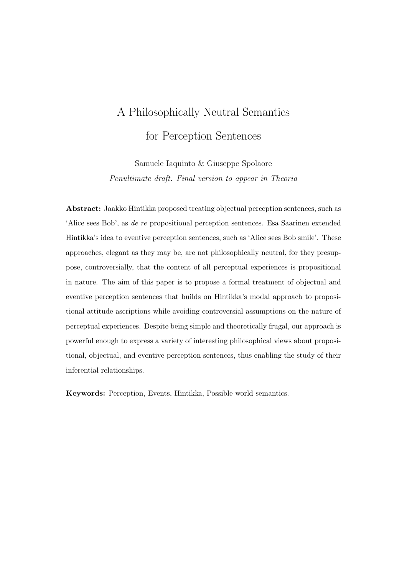# A Philosophically Neutral Semantics for Perception Sentences

Samuele Iaquinto & Giuseppe Spolaore Penultimate draft. Final version to appear in Theoria

Abstract: Jaakko Hintikka proposed treating objectual perception sentences, such as 'Alice sees Bob', as de re propositional perception sentences. Esa Saarinen extended Hintikka's idea to eventive perception sentences, such as 'Alice sees Bob smile'. These approaches, elegant as they may be, are not philosophically neutral, for they presuppose, controversially, that the content of all perceptual experiences is propositional in nature. The aim of this paper is to propose a formal treatment of objectual and eventive perception sentences that builds on Hintikka's modal approach to propositional attitude ascriptions while avoiding controversial assumptions on the nature of perceptual experiences. Despite being simple and theoretically frugal, our approach is powerful enough to express a variety of interesting philosophical views about propositional, objectual, and eventive perception sentences, thus enabling the study of their inferential relationships.

Keywords: Perception, Events, Hintikka, Possible world semantics.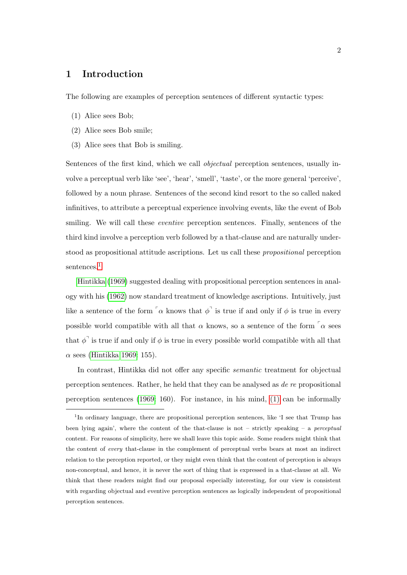# 1 Introduction

The following are examples of perception sentences of different syntactic types:

- <span id="page-1-1"></span>(1) Alice sees Bob;
- <span id="page-1-2"></span>(2) Alice sees Bob smile;
- (3) Alice sees that Bob is smiling.

Sentences of the first kind, which we call objectual perception sentences, usually involve a perceptual verb like 'see', 'hear', 'smell', 'taste', or the more general 'perceive', followed by a noun phrase. Sentences of the second kind resort to the so called naked infinitives, to attribute a perceptual experience involving events, like the event of Bob smiling. We will call these *eventive* perception sentences. Finally, sentences of the third kind involve a perception verb followed by a that-clause and are naturally understood as propositional attitude ascriptions. Let us call these propositional perception sentences<sup>[1](#page-1-0)</sup>

[Hintikka](#page-21-0) [\(1969\)](#page-21-0) suggested dealing with propositional perception sentences in analogy with his [\(1962\)](#page-21-1) now standard treatment of knowledge ascriptions. Intuitively, just like a sentence of the form  $\alpha$  knows that  $\phi^{\dagger}$  is true if and only if  $\phi$  is true in every possible world compatible with all that  $\alpha$  knows, so a sentence of the form  $\alpha$  sees that  $\phi^{\dagger}$  is true if and only if  $\phi$  is true in every possible world compatible with all that  $\alpha$  sees [\(Hintikka 1969:](#page-21-0) 155).

In contrast, Hintikka did not offer any specific semantic treatment for objectual perception sentences. Rather, he held that they can be analysed as de re propositional perception sentences [\(1969:](#page-21-0) 160). For instance, in his mind, [\(1\)](#page-1-1) can be informally

<span id="page-1-0"></span><sup>&</sup>lt;sup>1</sup>In ordinary language, there are propositional perception sentences, like 'I see that Trump has been lying again', where the content of the that-clause is not – strictly speaking – a *perceptual* content. For reasons of simplicity, here we shall leave this topic aside. Some readers might think that the content of every that-clause in the complement of perceptual verbs bears at most an indirect relation to the perception reported, or they might even think that the content of perception is always non-conceptual, and hence, it is never the sort of thing that is expressed in a that-clause at all. We think that these readers might find our proposal especially interesting, for our view is consistent with regarding objectual and eventive perception sentences as logically independent of propositional perception sentences.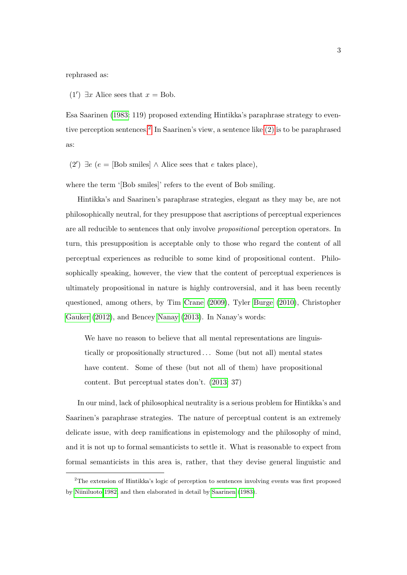rephrased as:

(1')  $\exists x$  Alice sees that  $x = Bob$ .

Esa Saarinen [\(1983:](#page-22-0) 119) proposed extending Hintikka's paraphrase strategy to eventive perception sentences.[2](#page-2-0) In Saarinen's view, a sentence like [\(2\)](#page-1-2) is to be paraphrased as:

<span id="page-2-1"></span>(2') ∃e (e = [Bob smiles] ∧ Alice sees that e takes place),

where the term '[Bob smiles]' refers to the event of Bob smiling.

Hintikka's and Saarinen's paraphrase strategies, elegant as they may be, are not philosophically neutral, for they presuppose that ascriptions of perceptual experiences are all reducible to sentences that only involve propositional perception operators. In turn, this presupposition is acceptable only to those who regard the content of all perceptual experiences as reducible to some kind of propositional content. Philosophically speaking, however, the view that the content of perceptual experiences is ultimately propositional in nature is highly controversial, and it has been recently questioned, among others, by Tim [Crane](#page-20-0) [\(2009\)](#page-20-0), Tyler [Burge](#page-20-1) [\(2010\)](#page-20-1), Christopher [Gauker](#page-21-2) [\(2012\)](#page-21-2), and Bencey [Nanay](#page-22-1) [\(2013\)](#page-22-1). In Nanay's words:

We have no reason to believe that all mental representations are linguistically or propositionally structured . . . Some (but not all) mental states have content. Some of these (but not all of them) have propositional content. But perceptual states don't. [\(2013:](#page-22-1) 37)

In our mind, lack of philosophical neutrality is a serious problem for Hintikka's and Saarinen's paraphrase strategies. The nature of perceptual content is an extremely delicate issue, with deep ramifications in epistemology and the philosophy of mind, and it is not up to formal semanticists to settle it. What is reasonable to expect from formal semanticists in this area is, rather, that they devise general linguistic and

<span id="page-2-0"></span><sup>2</sup>The extension of Hintikka's logic of perception to sentences involving events was first proposed by [Niiniluoto 1982,](#page-22-2) and then elaborated in detail by [Saarinen](#page-22-0) [\(1983\)](#page-22-0).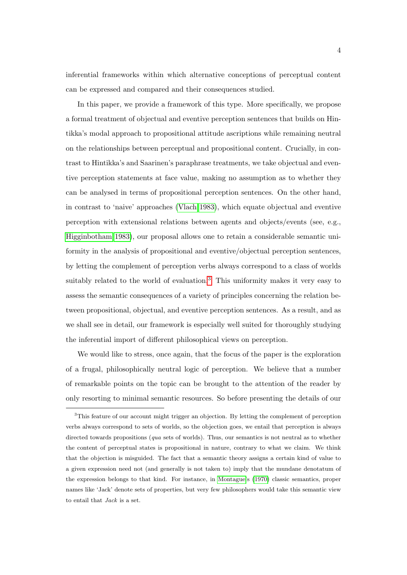inferential frameworks within which alternative conceptions of perceptual content can be expressed and compared and their consequences studied.

In this paper, we provide a framework of this type. More specifically, we propose a formal treatment of objectual and eventive perception sentences that builds on Hintikka's modal approach to propositional attitude ascriptions while remaining neutral on the relationships between perceptual and propositional content. Crucially, in contrast to Hintikka's and Saarinen's paraphrase treatments, we take objectual and eventive perception statements at face value, making no assumption as to whether they can be analysed in terms of propositional perception sentences. On the other hand, in contrast to 'naive' approaches [\(Vlach 1983\)](#page-23-0), which equate objectual and eventive perception with extensional relations between agents and objects/events (see, e.g., [Higginbotham 1983\)](#page-21-3), our proposal allows one to retain a considerable semantic uniformity in the analysis of propositional and eventive/objectual perception sentences, by letting the complement of perception verbs always correspond to a class of worlds suitably related to the world of evaluation.<sup>[3](#page-3-0)</sup> This uniformity makes it very easy to assess the semantic consequences of a variety of principles concerning the relation between propositional, objectual, and eventive perception sentences. As a result, and as we shall see in detail, our framework is especially well suited for thoroughly studying the inferential import of different philosophical views on perception.

We would like to stress, once again, that the focus of the paper is the exploration of a frugal, philosophically neutral logic of perception. We believe that a number of remarkable points on the topic can be brought to the attention of the reader by only resorting to minimal semantic resources. So before presenting the details of our

<span id="page-3-0"></span><sup>&</sup>lt;sup>3</sup>This feature of our account might trigger an objection. By letting the complement of perception verbs always correspond to sets of worlds, so the objection goes, we entail that perception is always directed towards propositions (qua sets of worlds). Thus, our semantics is not neutral as to whether the content of perceptual states is propositional in nature, contrary to what we claim. We think that the objection is misguided. The fact that a semantic theory assigns a certain kind of value to a given expression need not (and generally is not taken to) imply that the mundane denotatum of the expression belongs to that kind. For instance, in [Montague'](#page-22-3)s [\(1970\)](#page-22-3) classic semantics, proper names like 'Jack' denote sets of properties, but very few philosophers would take this semantic view to entail that Jack is a set.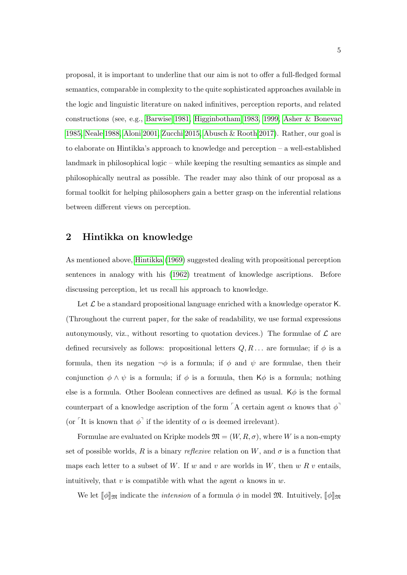proposal, it is important to underline that our aim is not to offer a full-fledged formal semantics, comparable in complexity to the quite sophisticated approaches available in the logic and linguistic literature on naked infinitives, perception reports, and related constructions (see, e.g., [Barwise 1981,](#page-20-2) [Higginbotham 1983,](#page-21-3) [1999,](#page-21-4) [Asher & Bonevac](#page-20-3) [1985,](#page-20-3) [Neale 1988,](#page-22-4) [Aloni 2001,](#page-19-0) [Zucchi 2015,](#page-23-1) [Abusch & Rooth 2017\)](#page-19-1). Rather, our goal is to elaborate on Hintikka's approach to knowledge and perception – a well-established landmark in philosophical logic – while keeping the resulting semantics as simple and philosophically neutral as possible. The reader may also think of our proposal as a formal toolkit for helping philosophers gain a better grasp on the inferential relations between different views on perception.

# 2 Hintikka on knowledge

As mentioned above, [Hintikka](#page-21-0) [\(1969\)](#page-21-0) suggested dealing with propositional perception sentences in analogy with his [\(1962\)](#page-21-1) treatment of knowledge ascriptions. Before discussing perception, let us recall his approach to knowledge.

Let  $\mathcal L$  be a standard propositional language enriched with a knowledge operator K. (Throughout the current paper, for the sake of readability, we use formal expressions autonymously, viz., without resorting to quotation devices.) The formulae of  $\mathcal L$  are defined recursively as follows: propositional letters  $Q, R, \ldots$  are formulae; if  $\phi$  is a formula, then its negation  $\neg \phi$  is a formula; if  $\phi$  and  $\psi$  are formulae, then their conjunction  $\phi \wedge \psi$  is a formula; if  $\phi$  is a formula, then K $\phi$  is a formula; nothing else is a formula. Other Boolean connectives are defined as usual.  $K\phi$  is the formal counterpart of a knowledge ascription of the form  $\ulcorner$  A certain agent  $\alpha$  knows that  $\phi$ <sup> $\urcorner$ </sup> (or <sup> $\lceil$ </sup>It is known that  $\phi$ <sup> $\lceil$ </sup> if the identity of  $\alpha$  is deemed irrelevant).

Formulae are evaluated on Kripke models  $\mathfrak{M} = (W, R, \sigma)$ , where W is a non-empty set of possible worlds, R is a binary reflexive relation on W, and  $\sigma$  is a function that maps each letter to a subset of W. If w and v are worlds in W, then  $w R v$  entails, intuitively, that v is compatible with what the agent  $\alpha$  knows in w.

We let  $\llbracket \phi \rrbracket_{\mathfrak{M}}$  indicate the *intension* of a formula  $\phi$  in model  $\mathfrak{M}$ . Intuitively,  $\llbracket \phi \rrbracket_{\mathfrak{M}}$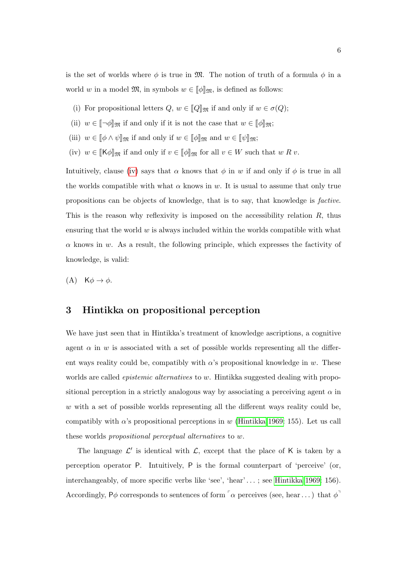is the set of worlds where  $\phi$  is true in M. The notion of truth of a formula  $\phi$  in a world w in a model  $\mathfrak{M}$ , in symbols  $w \in [\![\phi]\!]_{\mathfrak{M}}$ , is defined as follows:

- <span id="page-5-1"></span>(i) For propositional letters  $Q, w \in [Q]_{\mathfrak{M}}$  if and only if  $w \in \sigma(Q)$ ;
- <span id="page-5-2"></span>(ii)  $w \in [\![\neg \phi]\!]_{\mathfrak{M}}$  if and only if it is not the case that  $w \in [\![\phi]\!]_{\mathfrak{M}}$ ;
- (iii)  $w \in [\![\phi \wedge \psi ]\!]_{\mathfrak{M}}$  if and only if  $w \in [\![\phi ]\!]_{\mathfrak{M}}$  and  $w \in [\![\psi ]\!]_{\mathfrak{M}}$ ;
- <span id="page-5-0"></span>(iv)  $w \in [\mathsf{K}\phi]_{\mathfrak{M}}$  if and only if  $v \in [\![\phi]\!]_{\mathfrak{M}}$  for all  $v \in W$  such that  $w R v$ .

Intuitively, clause [\(iv\)](#page-5-0) says that  $\alpha$  knows that  $\phi$  in w if and only if  $\phi$  is true in all the worlds compatible with what  $\alpha$  knows in w. It is usual to assume that only true propositions can be objects of knowledge, that is to say, that knowledge is factive. This is the reason why reflexivity is imposed on the accessibility relation  $R$ , thus ensuring that the world  $w$  is always included within the worlds compatible with what  $\alpha$  knows in w. As a result, the following principle, which expresses the factivity of knowledge, is valid:

$$
(A) \quad K\phi \to \phi.
$$

## 3 Hintikka on propositional perception

We have just seen that in Hintikka's treatment of knowledge ascriptions, a cognitive agent  $\alpha$  in w is associated with a set of possible worlds representing all the different ways reality could be, compatibly with  $\alpha$ 's propositional knowledge in w. These worlds are called *epistemic alternatives* to w. Hintikka suggested dealing with propositional perception in a strictly analogous way by associating a perceiving agent  $\alpha$  in  $w$  with a set of possible worlds representing all the different ways reality could be, compatibly with  $\alpha$ 's propositional perceptions in w [\(Hintikka 1969:](#page-21-0) 155). Let us call these worlds propositional perceptual alternatives to w.

The language  $\mathcal{L}'$  is identical with  $\mathcal{L}$ , except that the place of K is taken by a perception operator P. Intuitively, P is the formal counterpart of 'perceive' (or, interchangeably, of more specific verbs like 'see', 'hear' . . . ; see [Hintikka 1969:](#page-21-0) 156). Accordingly, P $\phi$  corresponds to sentences of form  $\sigma$  perceives (see, hear ...) that  $\phi$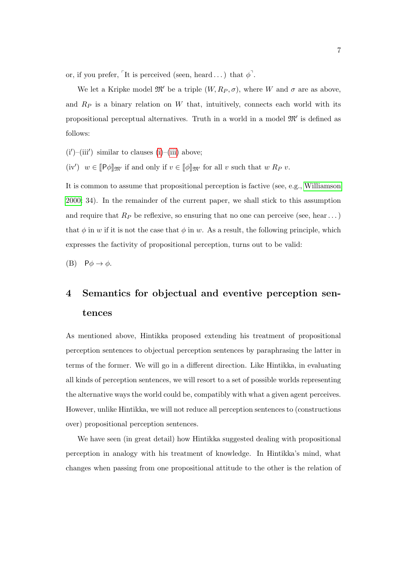or, if you prefer, <sup>"</sup>It is perceived (seen, heard ...) that  $\phi$ <sup>"</sup>.

We let a Kripke model  $\mathfrak{M}'$  be a triple  $(W, R_P, \sigma)$ , where W and  $\sigma$  are as above, and  $R_P$  is a binary relation on  $W$  that, intuitively, connects each world with its propositional perceptual alternatives. Truth in a world in a model  $\mathfrak{M}'$  is defined as follows:

<span id="page-6-0"></span> $(i')$ – $(iii')$  similar to clauses  $(i)$ – $(iii)$  above;

<span id="page-6-1"></span>(iv')  $w \in [\![P\phi]\!]_{\mathfrak{M}'}$  if and only if  $v \in [\![\phi]\!]_{\mathfrak{M}'}$  for all v such that  $w R_P v$ .

It is common to assume that propositional perception is factive (see, e.g., [Williamson](#page-23-2) [2000:](#page-23-2) 34). In the remainder of the current paper, we shall stick to this assumption and require that  $R_P$  be reflexive, so ensuring that no one can perceive (see, hear ...) that  $\phi$  in w if it is not the case that  $\phi$  in w. As a result, the following principle, which expresses the factivity of propositional perception, turns out to be valid:

<span id="page-6-2"></span>(B)  $P\phi \rightarrow \phi$ .

# 4 Semantics for objectual and eventive perception sentences

As mentioned above, Hintikka proposed extending his treatment of propositional perception sentences to objectual perception sentences by paraphrasing the latter in terms of the former. We will go in a different direction. Like Hintikka, in evaluating all kinds of perception sentences, we will resort to a set of possible worlds representing the alternative ways the world could be, compatibly with what a given agent perceives. However, unlike Hintikka, we will not reduce all perception sentences to (constructions over) propositional perception sentences.

We have seen (in great detail) how Hintikka suggested dealing with propositional perception in analogy with his treatment of knowledge. In Hintikka's mind, what changes when passing from one propositional attitude to the other is the relation of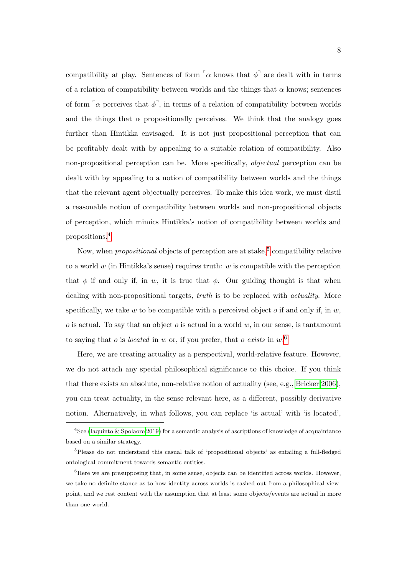compatibility at play. Sentences of form  $\sigma$  knows that  $\phi^{\dagger}$  are dealt with in terms of a relation of compatibility between worlds and the things that  $\alpha$  knows; sentences of form  $\lceil \alpha \rceil$  perceives that  $\phi^{\dagger}$ , in terms of a relation of compatibility between worlds and the things that  $\alpha$  propositionally perceives. We think that the analogy goes further than Hintikka envisaged. It is not just propositional perception that can be profitably dealt with by appealing to a suitable relation of compatibility. Also non-propositional perception can be. More specifically, objectual perception can be dealt with by appealing to a notion of compatibility between worlds and the things that the relevant agent objectually perceives. To make this idea work, we must distil a reasonable notion of compatibility between worlds and non-propositional objects of perception, which mimics Hintikka's notion of compatibility between worlds and propositions.[4](#page-7-0)

Now, when *propositional* objects of perception are at stake,<sup>[5](#page-7-1)</sup> compatibility relative to a world w (in Hintikka's sense) requires truth: w is compatible with the perception that  $\phi$  if and only if, in w, it is true that  $\phi$ . Our guiding thought is that when dealing with non-propositional targets, *truth* is to be replaced with *actuality*. More specifically, we take w to be compatible with a perceived object o if and only if, in  $w$ ,  $\alpha$  is actual. To say that an object  $\alpha$  is actual in a world w, in our sense, is tantamount to saying that *o* is *located* in *w* or, if you prefer, that *o* exists in  $w$ <sup>[6](#page-7-2)</sup>.

Here, we are treating actuality as a perspectival, world-relative feature. However, we do not attach any special philosophical significance to this choice. If you think that there exists an absolute, non-relative notion of actuality (see, e.g., [Bricker 2006\)](#page-20-4), you can treat actuality, in the sense relevant here, as a different, possibly derivative notion. Alternatively, in what follows, you can replace 'is actual' with 'is located',

<span id="page-7-0"></span><sup>&</sup>lt;sup>4</sup>See [\(Iaquinto & Spolaore 2019\)](#page-21-5) for a semantic analysis of ascriptions of knowledge of acquaintance based on a similar strategy.

<span id="page-7-1"></span> $5P$ lease do not understand this casual talk of 'propositional objects' as entailing a full-fledged ontological commitment towards semantic entities.

<span id="page-7-2"></span> ${}^{6}$ Here we are presupposing that, in some sense, objects can be identified across worlds. However, we take no definite stance as to how identity across worlds is cashed out from a philosophical viewpoint, and we rest content with the assumption that at least some objects/events are actual in more than one world.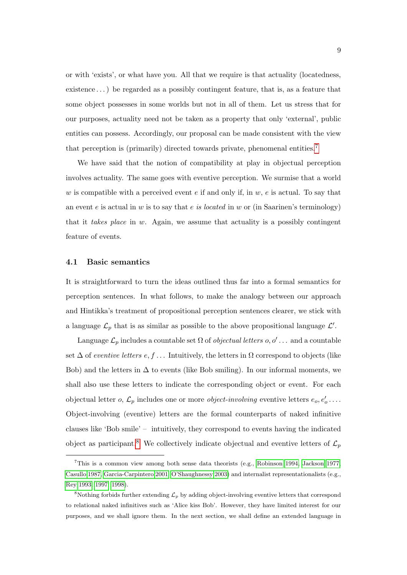or with 'exists', or what have you. All that we require is that actuality (locatedness, existence . . . ) be regarded as a possibly contingent feature, that is, as a feature that some object possesses in some worlds but not in all of them. Let us stress that for our purposes, actuality need not be taken as a property that only 'external', public entities can possess. Accordingly, our proposal can be made consistent with the view that perception is (primarily) directed towards private, phenomenal entities.[7](#page-8-0)

We have said that the notion of compatibility at play in objectual perception involves actuality. The same goes with eventive perception. We surmise that a world w is compatible with a perceived event  $e$  if and only if, in  $w, e$  is actual. To say that an event e is actual in w is to say that e is located in w or (in Saarinen's terminology) that it takes place in w. Again, we assume that actuality is a possibly contingent feature of events.

#### 4.1 Basic semantics

It is straightforward to turn the ideas outlined thus far into a formal semantics for perception sentences. In what follows, to make the analogy between our approach and Hintikka's treatment of propositional perception sentences clearer, we stick with a language  $\mathcal{L}_p$  that is as similar as possible to the above propositional language  $\mathcal{L}'$ .

Language  $\mathcal{L}_p$  includes a countable set  $\Omega$  of *objectual letters o, o'...* and a countable set  $\Delta$  of eventive letters e, f... Intuitively, the letters in  $\Omega$  correspond to objects (like Bob) and the letters in  $\Delta$  to events (like Bob smiling). In our informal moments, we shall also use these letters to indicate the corresponding object or event. For each objectual letter *o*,  $\mathcal{L}_p$  includes one or more *object-involving* eventive letters  $e_o, e'_o \dots$ Object-involving (eventive) letters are the formal counterparts of naked infinitive clauses like 'Bob smile' – intuitively, they correspond to events having the indicated object as participant.<sup>[8](#page-8-1)</sup> We collectively indicate objectual and eventive letters of  $\mathcal{L}_p$ 

<span id="page-8-0"></span><sup>7</sup>This is a common view among both sense data theorists (e.g., [Robinson 1994,](#page-22-5) [Jackson 1977,](#page-21-6) [Casullo 1987,](#page-20-5) [Garcia-Carpintero 2001,](#page-21-7) [O'Shaughnessy 2003\)](#page-22-6) and internalist representationalists (e.g., [Rey 1993,](#page-22-7) [1997,](#page-22-8) [1998\)](#page-22-9).

<span id="page-8-1"></span><sup>&</sup>lt;sup>8</sup>Nothing forbids further extending  $\mathcal{L}_p$  by adding object-involving eventive letters that correspond to relational naked infinitives such as 'Alice kiss Bob'. However, they have limited interest for our purposes, and we shall ignore them. In the next section, we shall define an extended language in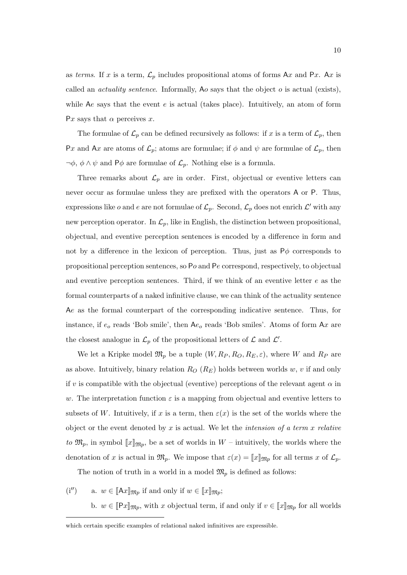as terms. If x is a term,  $\mathcal{L}_p$  includes propositional atoms of forms Ax and Px. Ax is called an *actuality sentence*. Informally, Ao says that the object  $o$  is actual (exists). while Ae says that the event  $e$  is actual (takes place). Intuitively, an atom of form Px says that  $\alpha$  perceives x.

The formulae of  $\mathcal{L}_p$  can be defined recursively as follows: if x is a term of  $\mathcal{L}_p$ , then Px and Ax are atoms of  $\mathcal{L}_p$ ; atoms are formulae; if  $\phi$  and  $\psi$  are formulae of  $\mathcal{L}_p$ , then  $\neg \phi$ ,  $\phi \wedge \psi$  and P $\phi$  are formulae of  $\mathcal{L}_p$ . Nothing else is a formula.

Three remarks about  $\mathcal{L}_p$  are in order. First, objectual or eventive letters can never occur as formulae unless they are prefixed with the operators A or P. Thus, expressions like *o* and *e* are not formulae of  $\mathcal{L}_p$ . Second,  $\mathcal{L}_p$  does not enrich  $\mathcal{L}'$  with any new perception operator. In  $\mathcal{L}_p$ , like in English, the distinction between propositional, objectual, and eventive perception sentences is encoded by a difference in form and not by a difference in the lexicon of perception. Thus, just as  $P\phi$  corresponds to propositional perception sentences, so Po and Pe correspond, respectively, to objectual and eventive perception sentences. Third, if we think of an eventive letter  $e$  as the formal counterparts of a naked infinitive clause, we can think of the actuality sentence Ae as the formal counterpart of the corresponding indicative sentence. Thus, for instance, if  $e_0$  reads 'Bob smile', then  $Ae_0$  reads 'Bob smiles'. Atoms of form  $Ax$  are the closest analogue in  $\mathcal{L}_p$  of the propositional letters of  $\mathcal L$  and  $\mathcal L'$ .

We let a Kripke model  $\mathfrak{M}_p$  be a tuple  $(W, R_P, R_O, R_E, \varepsilon)$ , where W and  $R_P$  are as above. Intuitively, binary relation  $R_O$  ( $R_E$ ) holds between worlds w, v if and only if v is compatible with the objectual (eventive) perceptions of the relevant agent  $\alpha$  in w. The interpretation function  $\varepsilon$  is a mapping from objectual and eventive letters to subsets of W. Intuitively, if x is a term, then  $\varepsilon(x)$  is the set of the worlds where the object or the event denoted by  $x$  is actual. We let the *intension of a term*  $x$  *relative* to  $\mathfrak{M}_p$ , in symbol  $\llbracket x \rrbracket_{\mathfrak{M}_p}$ , be a set of worlds in  $W$  – intuitively, the worlds where the denotation of x is actual in  $\mathfrak{M}_p$ . We impose that  $\varepsilon(x) = [x]_{\mathfrak{M}_p}$  for all terms x of  $\mathcal{L}_p$ .

The notion of truth in a world in a model  $\mathfrak{M}_p$  is defined as follows:

<span id="page-9-1"></span><span id="page-9-0"></span>(i'') a.  $w \in [\![Ax]\!]_{\mathfrak{M}p}$  if and only if  $w \in [\![x]\!]_{\mathfrak{M}p}$ ; b.  $w \in [Px]_{\mathfrak{M}_p}$ , with x objectual term, if and only if  $v \in [x]_{\mathfrak{M}_p}$  for all worlds

which certain specific examples of relational naked infinitives are expressible.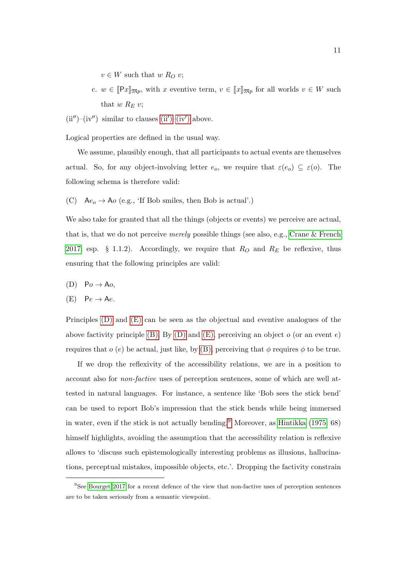$v \in W$  such that w  $R_O v$ ;

<span id="page-10-4"></span>c.  $w \in [Px]_{\mathfrak{M}_p}$ , with x eventive term,  $v \in [x]_{\mathfrak{M}_p}$  for all worlds  $v \in W$  such that  $w R_E v$ ;

<span id="page-10-3"></span> $(ii'')-(iv'')$  similar to clauses  $(ii')-(iv')$  above.

Logical properties are defined in the usual way.

We assume, plausibly enough, that all participants to actual events are themselves actual. So, for any object-involving letter  $e_o$ , we require that  $\varepsilon(e_o) \subseteq \varepsilon(o)$ . The following schema is therefore valid:

<span id="page-10-5"></span>(C)  $Ae_o \rightarrow Ao$  (e.g., 'If Bob smiles, then Bob is actual'.)

We also take for granted that all the things (objects or events) we perceive are actual, that is, that we do not perceive merely possible things (see also, e.g., [Crane & French](#page-20-6) [2017:](#page-20-6) esp. § 1.1.2). Accordingly, we require that  $R_O$  and  $R_E$  be reflexive, thus ensuring that the following principles are valid:

<span id="page-10-0"></span>(D)  $Po \rightarrow Ao$ ,

<span id="page-10-1"></span>
$$
(E) \quad \mathsf{P}e \to \mathsf{A}e.
$$

Principles  $(D)$  and  $(E)$  can be seen as the objectual and eventive analogues of the above factivity principle [\(B\).](#page-6-2) By [\(D\)](#page-10-0) and [\(E\),](#page-10-1) perceiving an object  $o$  (or an event  $e$ ) requires that  $o(e)$  be actual, just like, by [\(B\),](#page-6-2) perceiving that  $\phi$  requires  $\phi$  to be true.

If we drop the reflexivity of the accessibility relations, we are in a position to account also for non-factive uses of perception sentences, some of which are well attested in natural languages. For instance, a sentence like 'Bob sees the stick bend' can be used to report Bob's impression that the stick bends while being immersed in water, even if the stick is not actually bending.<sup>[9](#page-10-2)</sup> Moreover, as [Hintikka](#page-21-8) [\(1975:](#page-21-8) 68) himself highlights, avoiding the assumption that the accessibility relation is reflexive allows to 'discuss such epistemologically interesting problems as illusions, hallucinations, perceptual mistakes, impossible objects, etc.'. Dropping the factivity constrain

<span id="page-10-2"></span><sup>&</sup>lt;sup>9</sup>See [Bourget 2017](#page-20-7) for a recent defence of the view that non-factive uses of perception sentences are to be taken seriously from a semantic viewpoint.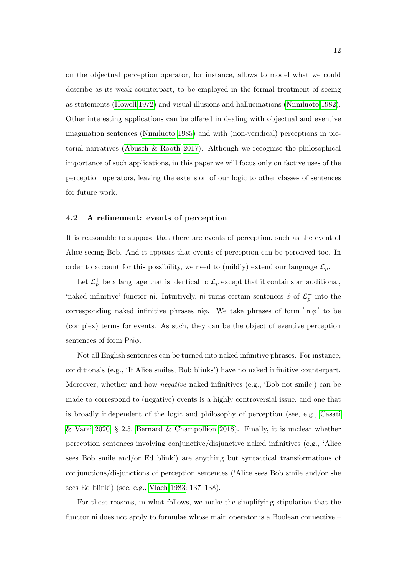on the objectual perception operator, for instance, allows to model what we could describe as its weak counterpart, to be employed in the formal treatment of seeing as statements [\(Howell 1972\)](#page-21-9) and visual illusions and hallucinations [\(Niiniluoto 1982\)](#page-22-2). Other interesting applications can be offered in dealing with objectual and eventive imagination sentences [\(Niiniluoto 1985\)](#page-22-10) and with (non-veridical) perceptions in pictorial narratives [\(Abusch & Rooth 2017\)](#page-19-1). Although we recognise the philosophical importance of such applications, in this paper we will focus only on factive uses of the perception operators, leaving the extension of our logic to other classes of sentences for future work.

#### 4.2 A refinement: events of perception

It is reasonable to suppose that there are events of perception, such as the event of Alice seeing Bob. And it appears that events of perception can be perceived too. In order to account for this possibility, we need to (mildly) extend our language  $\mathcal{L}_p$ .

Let  $\mathcal{L}_p^+$  be a language that is identical to  $\mathcal{L}_p$  except that it contains an additional, 'naked infinitive' functor ni. Intuitively, ni turns certain sentences  $\phi$  of  $\mathcal{L}_p^+$  into the corresponding naked infinitive phrases  $n\phi$ . We take phrases of form  $\lceil n\phi \rceil$  to be (complex) terms for events. As such, they can be the object of eventive perception sentences of form Pniφ.

Not all English sentences can be turned into naked infinitive phrases. For instance, conditionals (e.g., 'If Alice smiles, Bob blinks') have no naked infinitive counterpart. Moreover, whether and how negative naked infinitives (e.g., 'Bob not smile') can be made to correspond to (negative) events is a highly controversial issue, and one that is broadly independent of the logic and philosophy of perception (see, e.g., [Casati](#page-20-8) [& Varzi 2020:](#page-20-8) § 2.5, [Bernard & Champollion 2018\)](#page-20-9). Finally, it is unclear whether perception sentences involving conjunctive/disjunctive naked infinitives (e.g., 'Alice sees Bob smile and/or Ed blink') are anything but syntactical transformations of conjunctions/disjunctions of perception sentences ('Alice sees Bob smile and/or she sees Ed blink') (see, e.g., [Vlach 1983:](#page-23-0) 137–138).

For these reasons, in what follows, we make the simplifying stipulation that the functor ni does not apply to formulae whose main operator is a Boolean connective –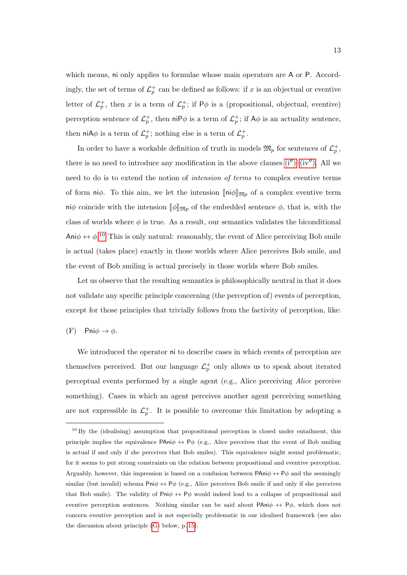which means, ni only applies to formulae whose main operators are A or P. Accordingly, the set of terms of  $\mathcal{L}_p^+$  can be defined as follows: if x is an objectual or eventive letter of  $\mathcal{L}_p^+$ , then x is a term of  $\mathcal{L}_p^+$ ; if  $P\phi$  is a (propositional, objectual, eventive) perception sentence of  $\mathcal{L}_p^+$ , then niP $\phi$  is a term of  $\mathcal{L}_p^+$ ; if A $\phi$  is an actuality sentence, then niA $\phi$  is a term of  $\mathcal{L}_p^+$ ; nothing else is a term of  $\mathcal{L}_p^+$ .

In order to have a workable definition of truth in models  $\mathfrak{M}_p$  for sentences of  $\mathcal{L}_p^+$ , there is no need to introduce any modification in the above clauses  $(i'')-(iv'')$ . All we need to do is to extend the notion of intension of terms to complex eventive terms of form ni $\phi$ . To this aim, we let the intension  $\lceil \eta \cdot \eta \rceil \leq \eta$  of a complex eventive term niφ coincide with the intension  $[\![\phi]\!]_{\mathfrak{M}_p}$  of the embedded sentence  $\phi$ , that is, with the class of worlds where  $\phi$  is true. As a result, our semantics validates the biconditional Ani $\phi \leftrightarrow \phi$ <sup>[10](#page-12-0)</sup> This is only natural: reasonably, the event of Alice perceiving Bob smile is actual (takes place) exactly in those worlds where Alice perceives Bob smile, and the event of Bob smiling is actual precisely in those worlds where Bob smiles.

Let us observe that the resulting semantics is philosophically neutral in that it does not validate any specific principle concerning (the perception of) events of perception, except for those principles that trivially follows from the factivity of perception, like:

(F) Pni $\phi \rightarrow \phi$ .

We introduced the operator ni to describe cases in which events of perception are themselves perceived. But our language  $\mathcal{L}_p^+$  only allows us to speak about iterated perceptual events performed by a single agent (e.g., Alice perceiving Alice perceive something). Cases in which an agent perceives another agent perceiving something are not expressible in  $\mathcal{L}_p^+$ . It is possible to overcome this limitation by adopting a

<span id="page-12-0"></span><sup>&</sup>lt;sup>10</sup> By the (idealising) assumption that propositional perception is closed under entailment, this principle implies the equivalence  $\mathsf{PAni}\phi \leftrightarrow \mathsf{P}\phi$  (e.g., Alice perceives that the event of Bob smiling is actual if and only if she perceives that Bob smiles). This equivalence might sound problematic, for it seems to put strong constraints on the relation between propositional and eventive perception. Arguably, however, this impression is based on a confusion between  $\mathsf{PAni}\phi \leftrightarrow \mathsf{P}\phi$  and the seemingly similar (but invalid) schema Pni $\phi \leftrightarrow P\phi$  (e.g., Alice perceives Bob smile if and only if she perceives that Bob smile). The validity of  $\mathsf{Pni}\phi \leftrightarrow \mathsf{P}\phi$  would indeed lead to a collapse of propositional and eventive perception sentences. Nothing similar can be said about PAni $\phi \leftrightarrow P\phi$ , which does not concern eventive perception and is not especially problematic in our idealised framework (see also the discussion about principle [\(G\)](#page-13-0) below, p. [15\)](#page-13-0).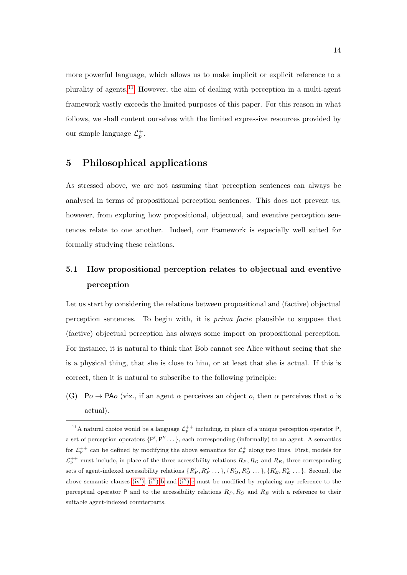more powerful language, which allows us to make implicit or explicit reference to a plurality of agents.[11](#page-13-1) However, the aim of dealing with perception in a multi-agent framework vastly exceeds the limited purposes of this paper. For this reason in what follows, we shall content ourselves with the limited expressive resources provided by our simple language  $\mathcal{L}_p^+$ .

# 5 Philosophical applications

As stressed above, we are not assuming that perception sentences can always be analysed in terms of propositional perception sentences. This does not prevent us, however, from exploring how propositional, objectual, and eventive perception sentences relate to one another. Indeed, our framework is especially well suited for formally studying these relations.

# 5.1 How propositional perception relates to objectual and eventive perception

Let us start by considering the relations between propositional and (factive) objectual perception sentences. To begin with, it is prima facie plausible to suppose that (factive) objectual perception has always some import on propositional perception. For instance, it is natural to think that Bob cannot see Alice without seeing that she is a physical thing, that she is close to him, or at least that she is actual. If this is correct, then it is natural to subscribe to the following principle:

<span id="page-13-0"></span>(G) Po  $\rightarrow$  PAo (viz., if an agent  $\alpha$  perceives an object o, then  $\alpha$  perceives that o is actual).

<span id="page-13-1"></span><sup>&</sup>lt;sup>11</sup>A natural choice would be a language  $\mathcal{L}_p^{++}$  including, in place of a unique perception operator P, a set of perception operators  $\{P', P'', \ldots\}$ , each corresponding (informally) to an agent. A semantics for  $\mathcal{L}_p^{++}$  can be defined by modifying the above semantics for  $\mathcal{L}_p^+$  along two lines. First, models for  $\mathcal{L}_p^{++}$  must include, in place of the three accessibility relations  $R_P, R_O$  and  $R_E$ , three corresponding sets of agent-indexed accessibility relations  $\{R'_P, R''_P, \ldots\}$ ,  $\{R'_O, R''_O, \ldots\}$ ,  $\{R'_E, R''_E, \ldots\}$ . Second, the above semantic clauses [\(iv](#page-6-1)'),  $(i'')$ [-b](#page-9-1) and  $(i'')$ [-c](#page-10-4) must be modified by replacing any reference to the perceptual operator P and to the accessibility relations  $R_P$ ,  $R_O$  and  $R_E$  with a reference to their suitable agent-indexed counterparts.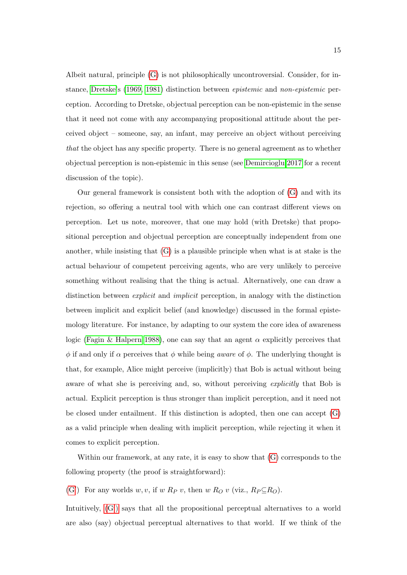Albeit natural, principle [\(G\)](#page-13-0) is not philosophically uncontroversial. Consider, for instance, [Dretske'](#page-20-10)s [\(1969,](#page-20-10) [1981\)](#page-20-11) distinction between epistemic and non-epistemic perception. According to Dretske, objectual perception can be non-epistemic in the sense that it need not come with any accompanying propositional attitude about the perceived object – someone, say, an infant, may perceive an object without perceiving that the object has any specific property. There is no general agreement as to whether objectual perception is non-epistemic in this sense (see [Demircioglu 2017](#page-20-12) for a recent discussion of the topic).

Our general framework is consistent both with the adoption of  $(G)$  and with its rejection, so offering a neutral tool with which one can contrast different views on perception. Let us note, moreover, that one may hold (with Dretske) that propositional perception and objectual perception are conceptually independent from one another, while insisting that  $(G)$  is a plausible principle when what is at stake is the actual behaviour of competent perceiving agents, who are very unlikely to perceive something without realising that the thing is actual. Alternatively, one can draw a distinction between *explicit* and *implicit* perception, in analogy with the distinction between implicit and explicit belief (and knowledge) discussed in the formal epistemology literature. For instance, by adapting to our system the core idea of awareness logic [\(Fagin & Halpern 1988\)](#page-21-10), one can say that an agent  $\alpha$  explicitly perceives that  $\phi$  if and only if  $\alpha$  perceives that  $\phi$  while being *aware* of  $\phi$ . The underlying thought is that, for example, Alice might perceive (implicitly) that Bob is actual without being aware of what she is perceiving and, so, without perceiving *explicitly* that Bob is actual. Explicit perception is thus stronger than implicit perception, and it need not be closed under entailment. If this distinction is adopted, then one can accept [\(G\)](#page-13-0) as a valid principle when dealing with implicit perception, while rejecting it when it comes to explicit perception.

Within our framework, at any rate, it is easy to show that [\(G\)](#page-13-0) corresponds to the following property (the proof is straightforward):

<span id="page-14-0"></span>[\(G](#page-13-0)') For any worlds w, v, if w  $R_P v$ , then w  $R_O v$  (viz.,  $R_P \subseteq R_O$ ).

Intuitively,  $(G')$  says that all the propositional perceptual alternatives to a world are also (say) objectual perceptual alternatives to that world. If we think of the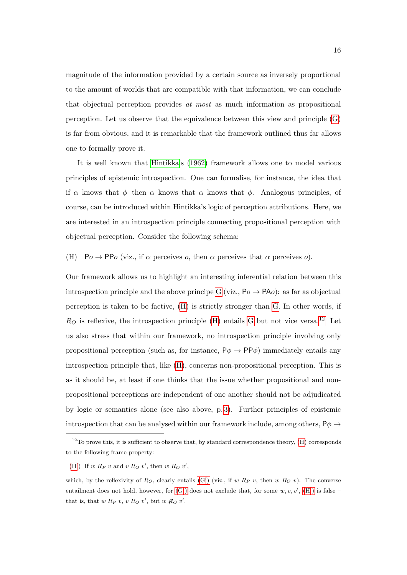magnitude of the information provided by a certain source as inversely proportional to the amount of worlds that are compatible with that information, we can conclude that objectual perception provides at most as much information as propositional perception. Let us observe that the equivalence between this view and principle [\(G\)](#page-13-0) is far from obvious, and it is remarkable that the framework outlined thus far allows one to formally prove it.

It is well known that [Hintikka'](#page-21-1)s [\(1962\)](#page-21-1) framework allows one to model various principles of epistemic introspection. One can formalise, for instance, the idea that if  $\alpha$  knows that  $\phi$  then  $\alpha$  knows that  $\alpha$  knows that  $\phi$ . Analogous principles, of course, can be introduced within Hintikka's logic of perception attributions. Here, we are interested in an introspection principle connecting propositional perception with objectual perception. Consider the following schema:

<span id="page-15-0"></span>(H)  $Po \rightarrow PPo$  (viz., if  $\alpha$  perceives  $o$ , then  $\alpha$  perceives that  $\alpha$  perceives  $o$ ).

Our framework allows us to highlight an interesting inferential relation between this introspection principle and the above principe [G](#page-13-0) (viz.,  $Po \rightarrow PAo$ ): as far as objectual perception is taken to be factive, [\(H\)](#page-15-0) is strictly stronger than [G.](#page-13-0) In other words, if  $R<sub>O</sub>$  is reflexive, the introspection principle [\(H\)](#page-15-0) entails [G](#page-13-0) but not vice versa.<sup>[12](#page-15-1)</sup> Let us also stress that within our framework, no introspection principle involving only propositional perception (such as, for instance,  $P\phi \rightarrow PP\phi$ ) immediately entails any introspection principle that, like [\(H\)](#page-15-0), concerns non-propositional perception. This is as it should be, at least if one thinks that the issue whether propositional and nonpropositional perceptions are independent of one another should not be adjudicated by logic or semantics alone (see also above, p. [3\)](#page-2-1). Further principles of epistemic introspection that can be analysed within our framework include, among others,  $P\phi \rightarrow$ 

<span id="page-15-1"></span> $12$ To prove this, it is sufficient to observe that, by standard correspondence theory, [\(H\)](#page-15-0) corresponds to the following frame property:

<span id="page-15-2"></span>[<sup>\(</sup>H](#page-15-0)') If w  $R_P v$  and v  $R_O v'$ , then w  $R_O v'$ ,

which, by the reflexivity of  $R_O$ , clearly entails  $(G')$  (viz., if w  $R_P$  v, then w  $R_O$  v). The converse entailment does not hold, however, for  $(G')$  does not exclude that, for some  $w, v, v', (H')$  $w, v, v', (H')$  $w, v, v', (H')$  is false that is, that  $w R_P v, v R_O v'$ , but  $w R_O v'$ .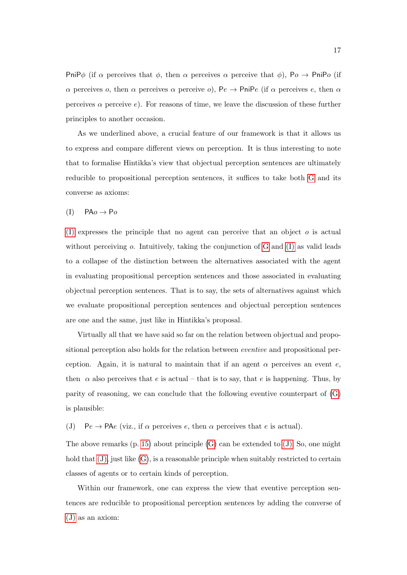PniP $\phi$  (if  $\alpha$  perceives that  $\phi$ , then  $\alpha$  perceives  $\alpha$  perceive that  $\phi$ ), P $\alpha \to \text{PinPo}$  (if α perceives *o*, then  $\alpha$  perceives  $\alpha$  perceive *o*), Pe  $\rightarrow$  PniPe (if  $\alpha$  perceives *e*, then  $\alpha$ perceives  $\alpha$  perceive e). For reasons of time, we leave the discussion of these further principles to another occasion.

As we underlined above, a crucial feature of our framework is that it allows us to express and compare different views on perception. It is thus interesting to note that to formalise Hintikka's view that objectual perception sentences are ultimately reducible to propositional perception sentences, it suffices to take both [G](#page-13-0) and its converse as axioms:

<span id="page-16-0"></span> $(I)$  PA $o \rightarrow Po$ 

[\(I\)](#page-16-0) expresses the principle that no agent can perceive that an object  $\sigma$  is actual without perceiving  $\alpha$ . Intuitively, taking the conjunction of [G](#page-13-0) and [\(I\)](#page-16-0) as valid leads to a collapse of the distinction between the alternatives associated with the agent in evaluating propositional perception sentences and those associated in evaluating objectual perception sentences. That is to say, the sets of alternatives against which we evaluate propositional perception sentences and objectual perception sentences are one and the same, just like in Hintikka's proposal.

Virtually all that we have said so far on the relation between objectual and propositional perception also holds for the relation between eventive and propositional perception. Again, it is natural to maintain that if an agent  $\alpha$  perceives an event e, then  $\alpha$  also perceives that e is actual – that is to say, that e is happening. Thus, by parity of reasoning, we can conclude that the following eventive counterpart of  $(G)$ is plausible:

<span id="page-16-1"></span>(J)  $Pe \rightarrow PAe$  (viz., if  $\alpha$  perceives e, then  $\alpha$  perceives that e is actual).

The above remarks  $(p. 15)$  $(p. 15)$  about principle  $(G)$  can be extended to  $(J)$ . So, one might hold that  $(J)$ , just like  $(G)$ , is a reasonable principle when suitably restricted to certain classes of agents or to certain kinds of perception.

Within our framework, one can express the view that eventive perception sentences are reducible to propositional perception sentences by adding the converse of [\(J\)](#page-16-1) as an axiom: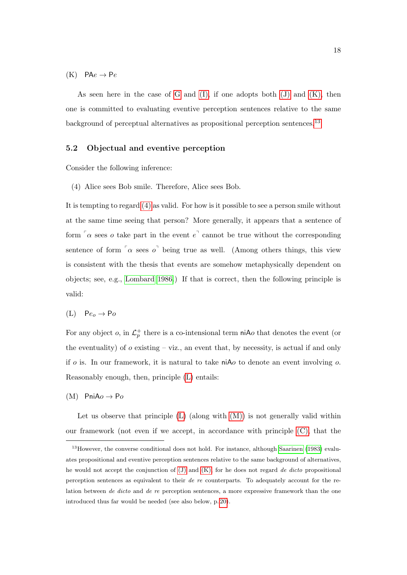<span id="page-17-0"></span> $(K)$  PA $e \rightarrow Pe$ 

As seen here in the case of [G](#page-13-0) and  $(I)$ , if one adopts both  $(J)$  and  $(K)$ , then one is committed to evaluating eventive perception sentences relative to the same background of perceptual alternatives as propositional perception sentences.<sup>[13](#page-17-1)</sup>

### 5.2 Objectual and eventive perception

Consider the following inference:

<span id="page-17-2"></span>(4) Alice sees Bob smile. Therefore, Alice sees Bob.

It is tempting to regard [\(4\)](#page-17-2) as valid. For how is it possible to see a person smile without at the same time seeing that person? More generally, it appears that a sentence of form  $\sigma$  sees o take part in the event  $e^{\sigma}$  cannot be true without the corresponding sentence of form  $\alpha$  sees  $\alpha^{\dagger}$  being true as well. (Among others things, this view is consistent with the thesis that events are somehow metaphysically dependent on objects; see, e.g., [Lombard 1986.](#page-21-11)) If that is correct, then the following principle is valid:

<span id="page-17-3"></span>
$$
(L) \quad Pe_o \to Po
$$

For any object *o*, in  $\mathcal{L}_p^+$  there is a co-intensional term niA*o* that denotes the event (or the eventuality) of  $o$  existing – viz., an event that, by necessity, is actual if and only if  $o$  is. In our framework, it is natural to take niA $o$  to denote an event involving  $o$ . Reasonably enough, then, principle [\(L\)](#page-17-3) entails:

<span id="page-17-4"></span> $(M)$  PniA $o \rightarrow Po$ 

Let us observe that principle  $(L)$  (along with  $(M)$ ) is not generally valid within our framework (not even if we accept, in accordance with principle [\(C\),](#page-10-5) that the

<span id="page-17-1"></span><sup>&</sup>lt;sup>13</sup> However, the converse conditional does not hold. For instance, although [Saarinen](#page-22-0) [\(1983\)](#page-22-0) evaluates propositional and eventive perception sentences relative to the same background of alternatives, he would not accept the conjunction of  $(J)$  and  $(K)$ , for he does not regard de dicto propositional perception sentences as equivalent to their de re counterparts. To adequately account for the relation between de dicto and de re perception sentences, a more expressive framework than the one introduced thus far would be needed (see also below, p. [20\)](#page-18-0).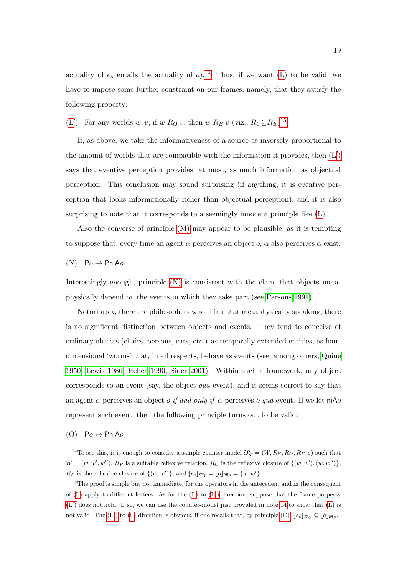actuality of  $e_o$  entails the actuality of  $o$ ).<sup>[14](#page-18-1)</sup> Thus, if we want [\(L\)](#page-17-3) to be valid, we have to impose some further constraint on our frames, namely, that they satisfy the following property:

<span id="page-18-3"></span>[\(L](#page-17-3)') For any worlds  $w, v$ , if  $w R_O v$ , then  $w R_E v$  (viz.,  $R_O \subseteq R_E$ )<sup>[15](#page-18-2)</sup>

If, as above, we take the informativeness of a source as inversely proportional to the amount of worlds that are compatible with the information it provides, then  $(L')$ says that eventive perception provides, at most, as much information as objectual perception. This conclusion may sound surprising (if anything, it is eventive perception that looks informationally richer than objectual perception), and it is also surprising to note that it corresponds to a seemingly innocent principle like [\(L\)](#page-17-3).

Also the converse of principle [\(M\)](#page-17-4) may appear to be plausible, as it is tempting to suppose that, every time an agent  $\alpha$  perceives an object  $\alpha$ ,  $\alpha$  also perceives  $\alpha$  exist:

<span id="page-18-4"></span>
$$
(N) \quad \mathsf{Po} \to \mathsf{Pni} \mathsf{Ao}
$$

Interestingly enough, principle [\(N\)](#page-18-4) is consistent with the claim that objects metaphysically depend on the events in which they take part (see [Parsons 1991\)](#page-22-11).

Notoriously, there are philosophers who think that metaphysically speaking, there is no significant distinction between objects and events. They tend to conceive of ordinary objects (chairs, persons, cats, etc.) as temporally extended entities, as fourdimensional 'worms' that, in all respects, behave as events (see, among others, [Quine](#page-22-12) [1950,](#page-22-12) [Lewis 1986,](#page-21-12) [Heller 1990,](#page-21-13) [Sider 2001\)](#page-22-13). Within such a framework, any object corresponds to an event (say, the object *qua* event), and it seems correct to say that an agent  $\alpha$  perceives an object *o* if and only if  $\alpha$  perceives *o* qua event. If we let niAo represent such event, then the following principle turns out to be valid:

<span id="page-18-0"></span>(O)  $Po \leftrightarrow PniAo$ 

<span id="page-18-1"></span><sup>&</sup>lt;sup>14</sup>To see this, it is enough to consider a sample counter-model  $\mathfrak{M}_p = (W, R_P, R_O, R_E, \varepsilon)$  such that  $W = (w, w', w'')$ ,  $R_P$  is a suitable reflexive relation,  $R_O$  is the reflexive closure of  $\{(w, w'), (w, w'')\}$ ,  $R_E$  is the reflexive closure of  $\{(w, w')\}$ , and  $[\![e_o]\!]_{\mathfrak{M}_p} = [\![o]\!]_{\mathfrak{M}_p} = \{w, w'\}.$ 

<span id="page-18-2"></span> $15$ The proof is simple but not immediate, for the operators in the antecedent and in the consequent of  $(L)$  apply to different letters. As for the  $(L)$  to  $(L')$  direction, suppose that the frame property  $(L')$  $(L')$  does not hold. If so, we can use the counter-model just provided in note [14](#page-18-1) to show that  $(L)$  is not valid. The  $(L')$  to  $(L)$  direction is obvious, if one recalls that, by principle  $(C)$ ,  $[\![e_{o}]\!]_{\mathfrak{M}_{p}} \subseteq [\![o]\!]_{\mathfrak{M}_{p}}$ .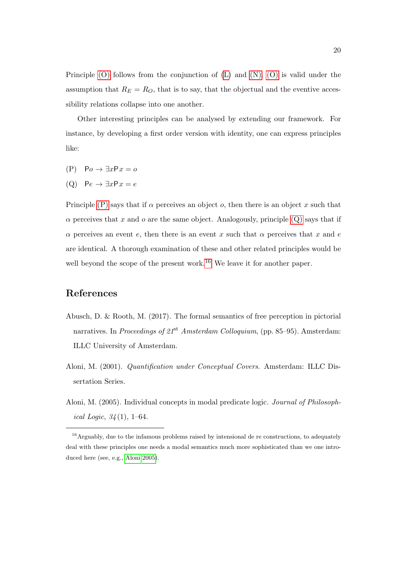Principle [\(O\)](#page-18-0) follows from the conjunction of [\(L\)](#page-17-3) and [\(N\).](#page-18-4) [\(O\)](#page-18-0) is valid under the assumption that  $R_E = R_O$ , that is to say, that the objectual and the eventive accessibility relations collapse into one another.

Other interesting principles can be analysed by extending our framework. For instance, by developing a first order version with identity, one can express principles like:

- <span id="page-19-2"></span> $(P)$  Po  $\rightarrow \exists x P x = o$
- <span id="page-19-3"></span>(Q)  $Pe \rightarrow \exists x P x = e$

Principle [\(P\)](#page-19-2) says that if  $\alpha$  perceives an object  $\alpha$ , then there is an object x such that  $\alpha$  perceives that x and o are the same object. Analogously, principle [\(Q\)](#page-19-3) says that if  $\alpha$  perceives an event e, then there is an event x such that  $\alpha$  perceives that x and e are identical. A thorough examination of these and other related principles would be well beyond the scope of the present work.<sup>[16](#page-19-4)</sup> We leave it for another paper.

### References

- <span id="page-19-1"></span>Abusch, D. & Rooth, M. (2017). The formal semantics of free perception in pictorial narratives. In Proceedings of  $21^{st}$  Amsterdam Colloquium, (pp. 85–95). Amsterdam: ILLC University of Amsterdam.
- <span id="page-19-0"></span>Aloni, M. (2001). Quantification under Conceptual Covers. Amsterdam: ILLC Dissertation Series.
- <span id="page-19-5"></span>Aloni, M. (2005). Individual concepts in modal predicate logic. Journal of Philosophical Logic,  $34(1)$ , 1–64.

<span id="page-19-4"></span><sup>&</sup>lt;sup>16</sup> Arguably, due to the infamous problems raised by intensional de re constructions, to adequately deal with these principles one needs a modal semantics much more sophisticated than we one introduced here (see, e.g., [Aloni 2005\)](#page-19-5).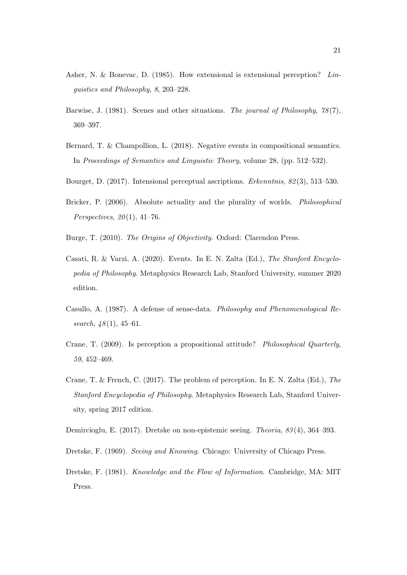- <span id="page-20-3"></span>Asher, N. & Bonevac, D. (1985). How extensional is extensional perception? Linguistics and Philosophy, 8, 203–228.
- <span id="page-20-2"></span>Barwise, J. (1981). Scenes and other situations. The journal of Philosophy,  $78(7)$ , 369–397.
- <span id="page-20-9"></span>Bernard, T. & Champollion, L. (2018). Negative events in compositional semantics. In Proceedings of Semantics and Linguistic Theory, volume 28, (pp. 512–532).
- <span id="page-20-7"></span>Bourget, D. (2017). Intensional perceptual ascriptions. Erkenntnis, 82 (3), 513–530.
- <span id="page-20-4"></span>Bricker, P. (2006). Absolute actuality and the plurality of worlds. Philosophical Perspectives,  $20(1)$ , 41-76.
- <span id="page-20-1"></span>Burge, T. (2010). The Origins of Objectivity. Oxford: Clarendon Press.
- <span id="page-20-8"></span>Casati, R. & Varzi, A. (2020). Events. In E. N. Zalta (Ed.), The Stanford Encyclopedia of Philosophy. Metaphysics Research Lab, Stanford University, summer 2020 edition.
- <span id="page-20-5"></span>Casullo, A. (1987). A defense of sense-data. Philosophy and Phenomenological Research,  $48(1)$ , 45–61.
- <span id="page-20-0"></span>Crane, T. (2009). Is perception a propositional attitude? Philosophical Quarterly, 59, 452–469.
- <span id="page-20-6"></span>Crane, T. & French, C. (2017). The problem of perception. In E. N. Zalta (Ed.), The Stanford Encyclopedia of Philosophy. Metaphysics Research Lab, Stanford University, spring 2017 edition.
- <span id="page-20-12"></span>Demircioglu, E. (2017). Dretske on non-epistemic seeing. Theoria, 83 (4), 364–393.
- <span id="page-20-10"></span>Dretske, F. (1969). Seeing and Knowing. Chicago: University of Chicago Press.
- <span id="page-20-11"></span>Dretske, F. (1981). Knowledge and the Flow of Information. Cambridge, MA: MIT Press.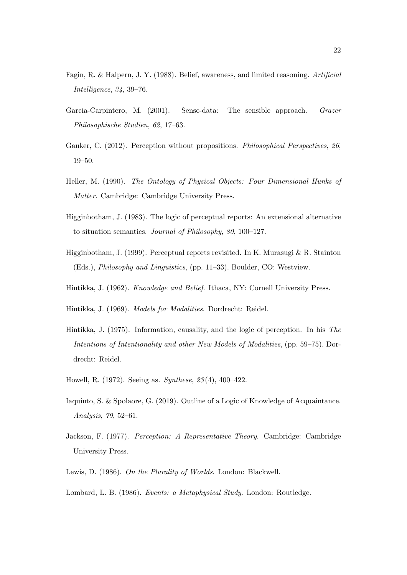- <span id="page-21-10"></span>Fagin, R. & Halpern, J. Y. (1988). Belief, awareness, and limited reasoning. Artificial Intelligence, 34, 39–76.
- <span id="page-21-7"></span>Garcia-Carpintero, M. (2001). Sense-data: The sensible approach. Grazer Philosophische Studien, 62, 17–63.
- <span id="page-21-2"></span>Gauker, C. (2012). Perception without propositions. *Philosophical Perspectives*, 26, 19–50.
- <span id="page-21-13"></span>Heller, M. (1990). The Ontology of Physical Objects: Four Dimensional Hunks of Matter. Cambridge: Cambridge University Press.
- <span id="page-21-3"></span>Higginbotham, J. (1983). The logic of perceptual reports: An extensional alternative to situation semantics. Journal of Philosophy, 80, 100–127.
- <span id="page-21-4"></span>Higginbotham, J. (1999). Perceptual reports revisited. In K. Murasugi & R. Stainton (Eds.), Philosophy and Linguistics, (pp. 11–33). Boulder, CO: Westview.
- <span id="page-21-1"></span>Hintikka, J. (1962). Knowledge and Belief. Ithaca, NY: Cornell University Press.
- <span id="page-21-0"></span>Hintikka, J. (1969). Models for Modalities. Dordrecht: Reidel.
- <span id="page-21-8"></span>Hintikka, J. (1975). Information, causality, and the logic of perception. In his The Intentions of Intentionality and other New Models of Modalities, (pp. 59–75). Dordrecht: Reidel.
- <span id="page-21-9"></span>Howell, R. (1972). Seeing as. Synthese, 23 (4), 400–422.
- <span id="page-21-5"></span>Iaquinto, S. & Spolaore, G. (2019). Outline of a Logic of Knowledge of Acquaintance. Analysis, 79, 52–61.
- <span id="page-21-6"></span>Jackson, F. (1977). Perception: A Representative Theory. Cambridge: Cambridge University Press.
- <span id="page-21-12"></span>Lewis, D. (1986). On the Plurality of Worlds. London: Blackwell.
- <span id="page-21-11"></span>Lombard, L. B. (1986). Events: a Metaphysical Study. London: Routledge.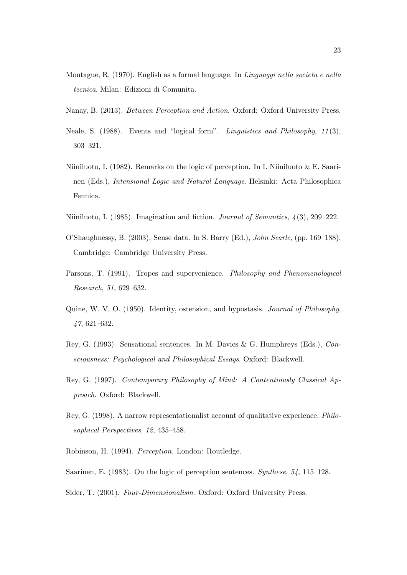- <span id="page-22-3"></span>Montague, R. (1970). English as a formal language. In Linguaggi nella societa e nella tecnica. Milan: Edizioni di Comunita.
- <span id="page-22-1"></span>Nanay, B. (2013). Between Perception and Action. Oxford: Oxford University Press.
- <span id="page-22-4"></span>Neale, S. (1988). Events and "logical form". Linguistics and Philosophy, 11 (3), 303–321.
- <span id="page-22-2"></span>Niiniluoto, I. (1982). Remarks on the logic of perception. In I. Niiniluoto & E. Saarinen (Eds.), Intensional Logic and Natural Language. Helsinki: Acta Philosophica Fennica.
- <span id="page-22-10"></span>Niiniluoto, I. (1985). Imagination and fiction. Journal of Semantics, 4 (3), 209–222.
- <span id="page-22-6"></span>O'Shaughnessy, B. (2003). Sense data. In S. Barry (Ed.), John Searle, (pp. 169–188). Cambridge: Cambridge University Press.
- <span id="page-22-11"></span>Parsons, T. (1991). Tropes and supervenience. *Philosophy and Phenomenological* Research, 51, 629–632.
- <span id="page-22-12"></span>Quine, W. V. O. (1950). Identity, ostension, and hypostasis. Journal of Philosophy, 47, 621–632.
- <span id="page-22-7"></span>Rey, G. (1993). Sensational sentences. In M. Davies & G. Humphreys (Eds.), Consciousness: Psychological and Philosophical Essays. Oxford: Blackwell.
- <span id="page-22-8"></span>Rey, G. (1997). Contemporary Philosophy of Mind: A Contentiously Classical Approach. Oxford: Blackwell.
- <span id="page-22-9"></span>Rey, G. (1998). A narrow representationalist account of qualitative experience. Philosophical Perspectives, 12, 435–458.
- <span id="page-22-5"></span>Robinson, H. (1994). Perception. London: Routledge.
- <span id="page-22-0"></span>Saarinen, E. (1983). On the logic of perception sentences. Synthese, 54, 115–128.
- <span id="page-22-13"></span>Sider, T. (2001). Four-Dimensionalism. Oxford: Oxford University Press.